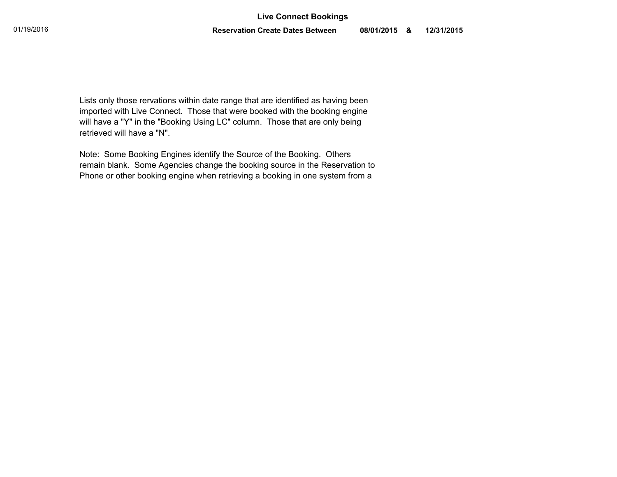Lists only those rervations within date range that are identified as having been imported with Live Connect. Those that were booked with the booking engine will have a "Y" in the "Booking Using LC" column. Those that are only being retrieved will have a "N".

Note: Some Booking Engines identify the Source of the Booking. Others remain blank. Some Agencies change the booking source in the Reservation to Phone or other booking engine when retrieving a booking in one system from a